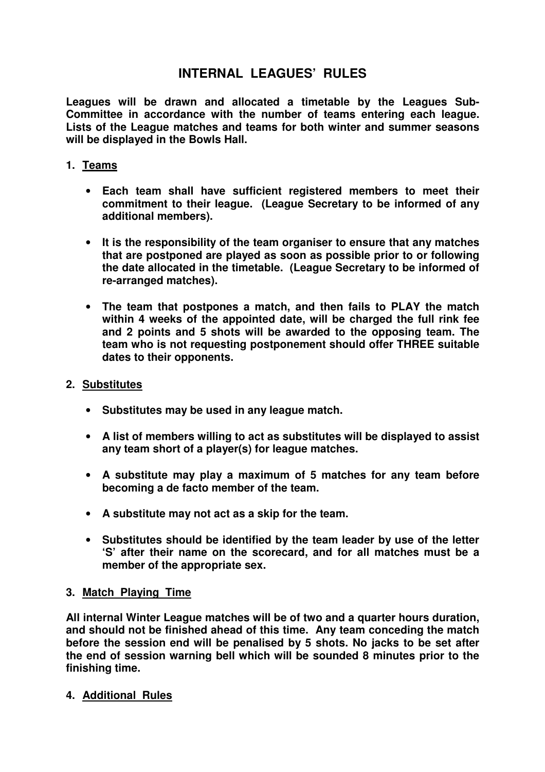# **INTERNAL LEAGUES' RULES**

**Leagues will be drawn and allocated a timetable by the Leagues Sub-Committee in accordance with the number of teams entering each league. Lists of the League matches and teams for both winter and summer seasons will be displayed in the Bowls Hall.** 

# **1. Teams**

- **Each team shall have sufficient registered members to meet their commitment to their league. (League Secretary to be informed of any additional members).**
- **It is the responsibility of the team organiser to ensure that any matches that are postponed are played as soon as possible prior to or following the date allocated in the timetable. (League Secretary to be informed of re-arranged matches).**
- **The team that postpones a match, and then fails to PLAY the match within 4 weeks of the appointed date, will be charged the full rink fee and 2 points and 5 shots will be awarded to the opposing team. The team who is not requesting postponement should offer THREE suitable dates to their opponents.**
- **2. Substitutes** 
	- **Substitutes may be used in any league match.**
	- **A list of members willing to act as substitutes will be displayed to assist any team short of a player(s) for league matches.**
	- **A substitute may play a maximum of 5 matches for any team before becoming a de facto member of the team.**
	- **A substitute may not act as a skip for the team.**
	- **Substitutes should be identified by the team leader by use of the letter 'S' after their name on the scorecard, and for all matches must be a member of the appropriate sex.**

# **3. Match Playing Time**

**All internal Winter League matches will be of two and a quarter hours duration, and should not be finished ahead of this time. Any team conceding the match before the session end will be penalised by 5 shots. No jacks to be set after the end of session warning bell which will be sounded 8 minutes prior to the finishing time.** 

# **4. Additional Rules**